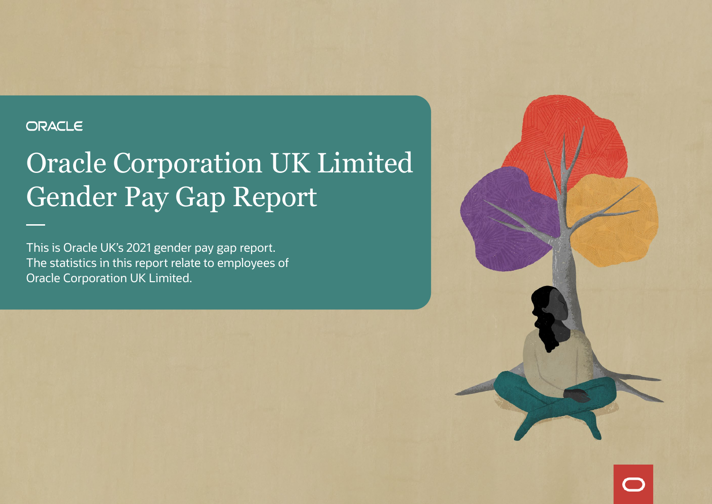### ORACLE

## Oracle Corporation UK Limited Gender Pay Gap Report

This is Oracle UK's 2021 gender pay gap report. The statistics in this report relate to employees of Oracle Corporation UK Limited.

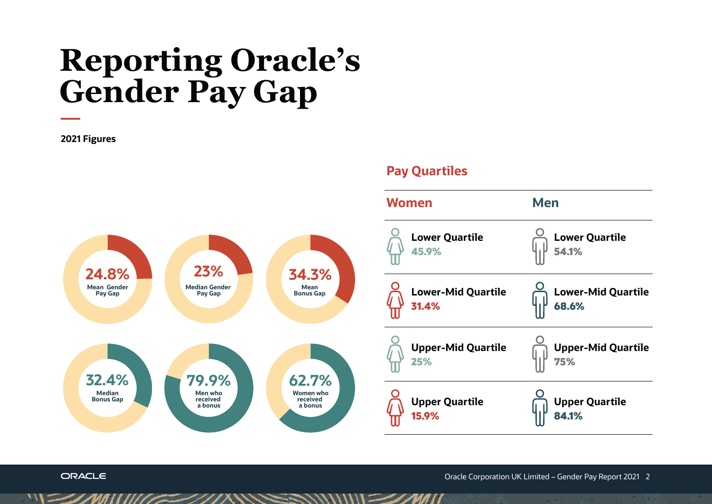## **Reporting Oracle's Gender Pay Gap**

**2021 Figures**



### **Pay Quartiles**

ORACLE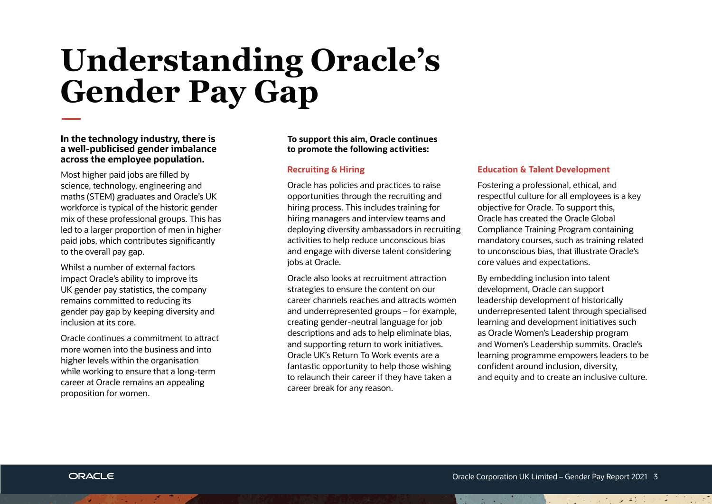# **Understanding Oracle's Gender Pay Gap**

#### **In the technology industry, there is a well-publicised gender imbalance across the employee population.**

Most higher paid jobs are filled by science, technology, engineering and maths (STEM) graduates and Oracle's UK workforce is typical of the historic gender mix of these professional groups. This has led to a larger proportion of men in higher paid jobs, which contributes significantly to the overall pay gap.

Whilst a number of external factors impact Oracle's ability to improve its UK gender pay statistics, the company remains committed to reducing its gender pay gap by keeping diversity and inclusion at its core.

Oracle continues a commitment to attract more women into the business and into higher levels within the organisation while working to ensure that a long-term career at Oracle remains an appealing proposition for women.

#### **To support this aim, Oracle continues to promote the following activities:**

#### **Recruiting & Hiring**

Oracle has policies and practices to raise opportunities through the recruiting and hiring process. This includes training for hiring managers and interview teams and deploying diversity ambassadors in recruiting activities to help reduce unconscious bias and engage with diverse talent considering jobs at Oracle.

Oracle also looks at recruitment attraction strategies to ensure the content on our career channels reaches and attracts women and underrepresented groups – for example, creating gender-neutral language for job descriptions and ads to help eliminate bias, and supporting return to work initiatives. Oracle UK's Return To Work events are a fantastic opportunity to help those wishing to relaunch their career if they have taken a career break for any reason.

#### **Education & Talent Development**

Fostering a professional, ethical, and respectful culture for all employees is a key objective for Oracle. To support this, Oracle has created the Oracle Global Compliance Training Program containing mandatory courses, such as training related to unconscious bias, that illustrate Oracle's core values and expectations.

By embedding inclusion into talent development, Oracle can support leadership development of historically underrepresented talent through specialised learning and development initiatives such as Oracle Women's Leadership program and Women's Leadership summits. Oracle's learning programme empowers leaders to be confident around inclusion, diversity, and equity and to create an inclusive culture.

and the same of the same of the same

 $\sim 100$ 

 $\overline{\phantom{a}}$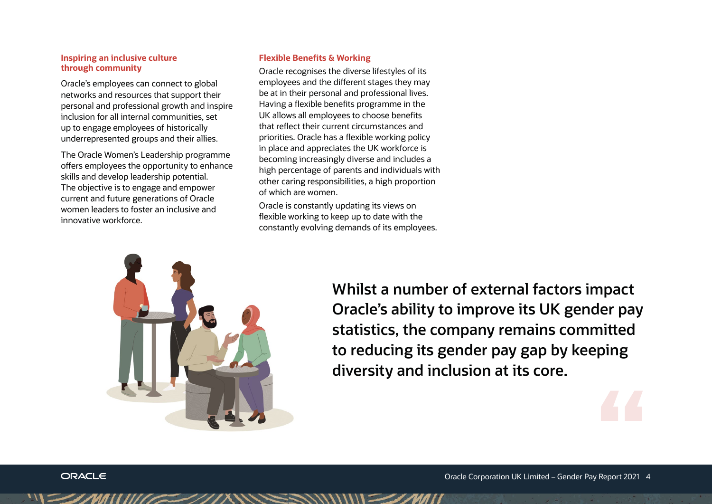#### **Inspiring an inclusive culture through community**

Oracle's employees can connect to global networks and resources that support their personal and professional growth and inspire inclusion for all internal communities, set up to engage employees of historically underrepresented groups and their allies.

The Oracle Women's Leadership programme offers employees the opportunity to enhance skills and develop leadership potential. The objective is to engage and empower current and future generations of Oracle women leaders to foster an inclusive and innovative workforce.

#### **Flexible Benefits & Working**

Oracle recognises the diverse lifestyles of its employees and the different stages they may be at in their personal and professional lives. Having a flexible benefits programme in the UK allows all employees to choose benefits that reflect their current circumstances and priorities. Oracle has a flexible working policy in place and appreciates the UK workforce is becoming increasingly diverse and includes a high percentage of parents and individuals with other caring responsibilities, a high proportion of which are women.

Oracle is constantly updating its views on flexible working to keep up to date with the constantly evolving demands of its employees.



**Whilst a number of external factors impact Oracle's ability to improve its UK gender pay statistics, the company remains committed to reducing its gender pay gap by keeping diversity and inclusion at its core.**

#### ORACLE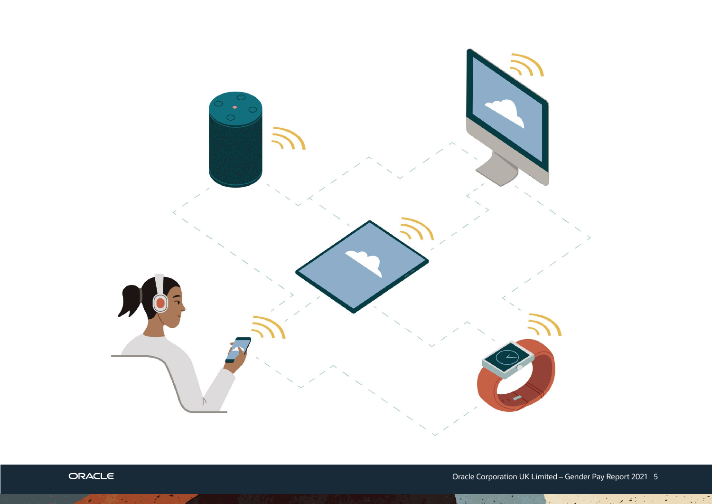

**Alla** 

and the same of the

 $\mathbb{R}^7$ 

 $\ddot{\phantom{a}}$ 

 $\mathcal{L}$ 

 $\cdot$   $\cdot$ 

 $\sim$   $\sim$ 

 $\cdot$  .